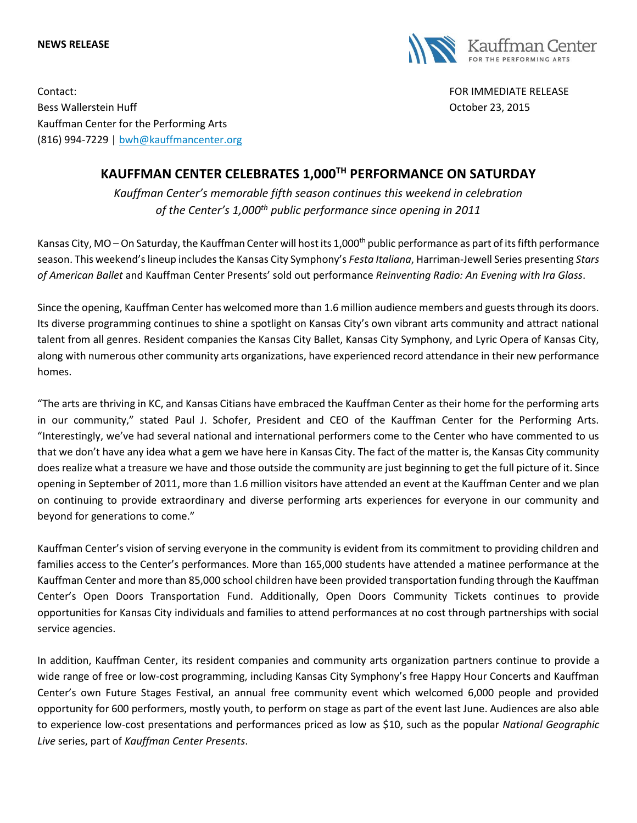## **NEWS RELEASE**



Contact: FOR IMMEDIATE RELEASE Bess Wallerstein Huff October 23, 2015 Kauffman Center for the Performing Arts (816) 994-7229 | [bwh@kauffmancenter.org](mailto:bwh@kauffmancenter.org)

## **KAUFFMAN CENTER CELEBRATES 1,000TH PERFORMANCE ON SATURDAY**

*Kauffman Center's memorable fifth season continues this weekend in celebration of the Center's 1,000th public performance since opening in 2011*

Kansas City, MO – On Saturday, the Kauffman Center will host its  $1,000$ <sup>th</sup> public performance as part of its fifth performance season. This weekend's lineup includes the Kansas City Symphony's *Festa Italiana*, Harriman-Jewell Series presenting *Stars of American Ballet* and Kauffman Center Presents' sold out performance *Reinventing Radio: An Evening with Ira Glass*.

Since the opening, Kauffman Center has welcomed more than 1.6 million audience members and guests through its doors. Its diverse programming continues to shine a spotlight on Kansas City's own vibrant arts community and attract national talent from all genres. Resident companies the Kansas City Ballet, Kansas City Symphony, and Lyric Opera of Kansas City, along with numerous other community arts organizations, have experienced record attendance in their new performance homes.

"The arts are thriving in KC, and Kansas Citians have embraced the Kauffman Center as their home for the performing arts in our community," stated Paul J. Schofer, President and CEO of the Kauffman Center for the Performing Arts. "Interestingly, we've had several national and international performers come to the Center who have commented to us that we don't have any idea what a gem we have here in Kansas City. The fact of the matter is, the Kansas City community does realize what a treasure we have and those outside the community are just beginning to get the full picture of it. Since opening in September of 2011, more than 1.6 million visitors have attended an event at the Kauffman Center and we plan on continuing to provide extraordinary and diverse performing arts experiences for everyone in our community and beyond for generations to come."

Kauffman Center's vision of serving everyone in the community is evident from its commitment to providing children and families access to the Center's performances. More than 165,000 students have attended a matinee performance at the Kauffman Center and more than 85,000 school children have been provided transportation funding through the Kauffman Center's Open Doors Transportation Fund. Additionally, Open Doors Community Tickets continues to provide opportunities for Kansas City individuals and families to attend performances at no cost through partnerships with social service agencies.

In addition, Kauffman Center, its resident companies and community arts organization partners continue to provide a wide range of free or low-cost programming, including Kansas City Symphony's free Happy Hour Concerts and Kauffman Center's own Future Stages Festival, an annual free community event which welcomed 6,000 people and provided opportunity for 600 performers, mostly youth, to perform on stage as part of the event last June. Audiences are also able to experience low-cost presentations and performances priced as low as \$10, such as the popular *National Geographic Live* series, part of *Kauffman Center Presents*.